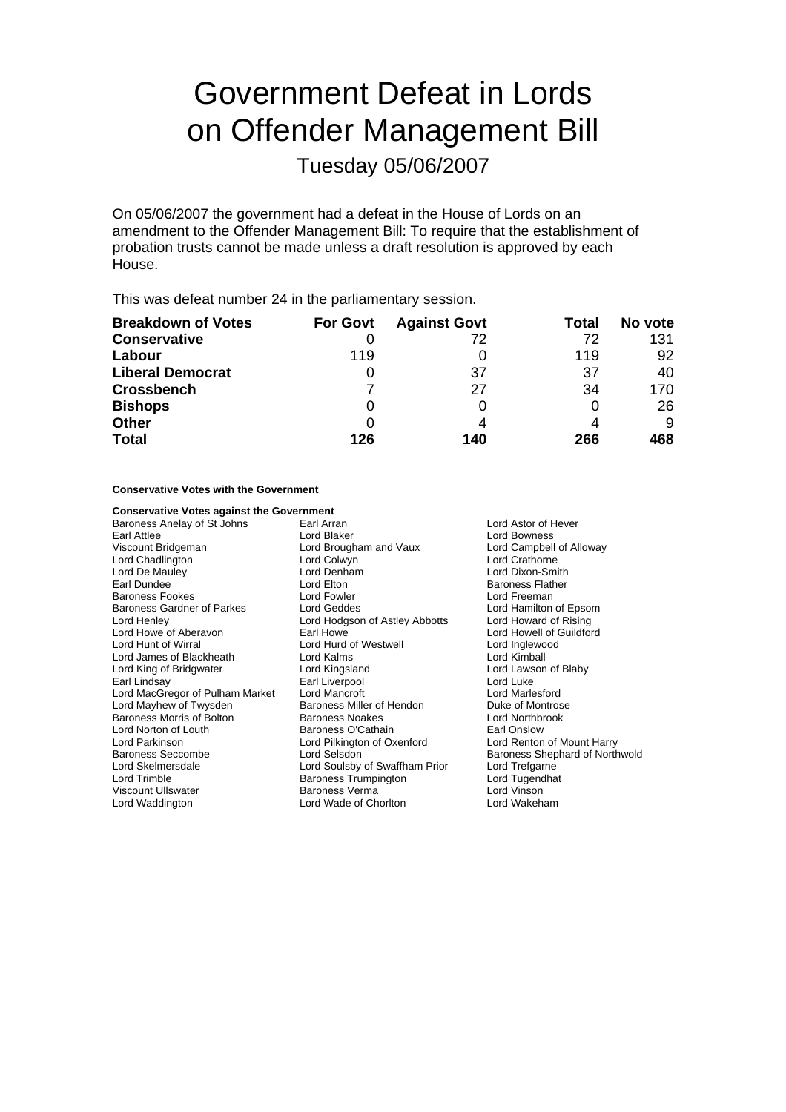# Government Defeat in Lords on Offender Management Bill

Tuesday 05/06/2007

On 05/06/2007 the government had a defeat in the House of Lords on an amendment to the Offender Management Bill: To require that the establishment of probation trusts cannot be made unless a draft resolution is approved by each House.

This was defeat number 24 in the parliamentary session.

| <b>Breakdown of Votes</b> | <b>For Govt</b> | <b>Against Govt</b> | Total | No vote |
|---------------------------|-----------------|---------------------|-------|---------|
| <b>Conservative</b>       |                 | 72                  | 72    | 131     |
| Labour                    | 119             |                     | 119   | 92      |
| <b>Liberal Democrat</b>   |                 | 37                  | 37    | 40      |
| <b>Crossbench</b>         |                 | 27                  | 34    | 170     |
| <b>Bishops</b>            | O               |                     | O     | 26      |
| <b>Other</b>              | O               |                     |       | 9       |
| <b>Total</b>              | 126             | 140                 | 266   | 468     |

Baroness Miller of Hendon

Lord Pilkington of Oxenford

#### **Conservative Votes with the Government**

# **Conservative Votes against the Government**<br>Baroness Anelay of St Johns [ Earl Arran]

Baroness Anelay of St Johns Earl Arran Earl Arran Lord Astor of Hever Earl Attlee Lord Blaker Lord Bowness Viscount Bridgeman **Victor Campbell of Alloway**<br>
Lord Chadlington **Lord Collact Collact Colly Act Campbell of Alloway**<br>
Lord Chadlington **Lord Campbell of Alloway** Lord Chadlington Lord Colwyn Lord Crathorne Earl Dundee **Lord Elton** Baroness Flather Baroness Fookes **Exercise Exercise Lord Fowler Lord Found Freeman**<br>Baroness Gardner of Parkes **Lord Geddes Lord Freeman** Lord Hamilton of Epsom Baroness Gardner of Parkes<br>Lord Henley Lord Howe of Aberavon **Earl Howe Carl Howe Communist Cord Howell** of Guildford Lord Howell of Guildford Lord Howe Lord Howe Lord Howe Lord Howe Lord Howe Lord Howe Lord Howe Lord Howe Lord Howe Lord Howe Lord Howe Lord How Lord James of Blackheath Lord Kalms Lord Kimball Lord King of Bridgwater **Lord Kingsland** Earl Lindsay Earl Liverpool Earl Lindsay Earl Lord Mancroft Cord MacGregor of Pulham Market Lord Mancroft Cord Mancroft Lord MacGregor of Pulham Market Lord Mancroft Lord Marlesford Baroness Morris of Bolton Baroness Noakes Cord Northbrook<br>
Baroness O'Cathain Cord Norton of Louth Baroness O'Cathain Carl Onslow Lord Norton of Louth **Baroness O'Cathain**<br>
Lord Parkinson **Baroness O'Cathain** Earl **Baroness O'Cathain** Earl Onslow<br>
Lord Parkinson **Early Communist Communist Communist Communist Communist Communist Communist Communist Co** Baroness Seccombe **Lord Selsdon** Baroness Shephard of Northwold Lord Skelmersdale Lord Soulsby of Swaffham Prior Lord Trefgarne Viscount Ullswater Lord Waddington Lord Wade of Chorlton Lord Wakeham

Lord Dixon-Smith Lord Hodgson of Astley Abbotts Lord Howard of Rising Lord Hurd of Westwell **Lord Inglewood Lord Kimball**<br>
Lord Kalms Baroness Trumpington Lord Tugendhat<br>
Baroness Verma<br>
Lord Vinson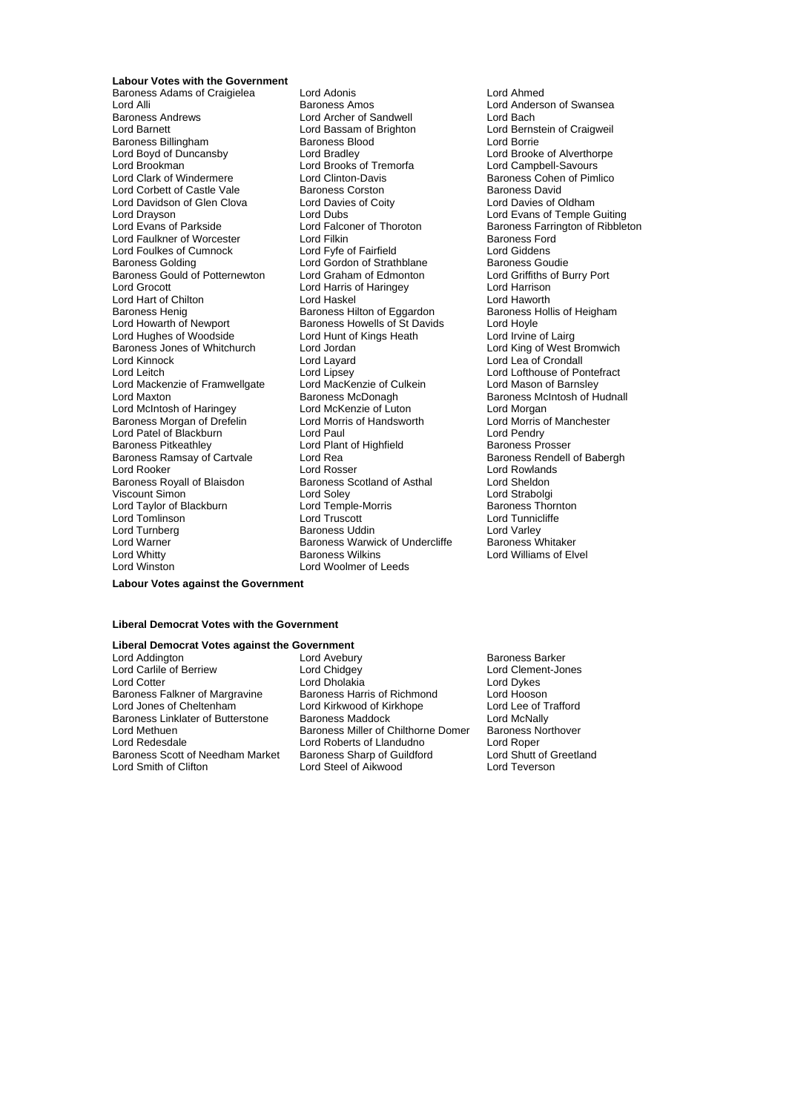**Labour Votes with the Government**

Lord Alli Baroness Amos Lord Anderson of Swansea<br>Baroness Andrews Lord Archer of Sandwell Lord Bach Baroness Andrews **Lord Archer of Sandwell**<br>
Lord Barnett<br>
Lord Bassam of Brighton Baroness Billingham Baroness Bloomer<br>
Baroness Bloomer<br>
Lord Bradley Lord Boyd of Duncansby Lord Bradley Lord Bradley Lord Brooke of Alverthorpe<br>
Lord Brooke of Alverthorpe<br>
Lord Brookman Lord Brooks of Tremorfa Lord Campbell-Savours Lord Clark of Windermere **Lord Clinton-Davis Baroness Cohen of Pimlico**<br>
Lord Corbett of Castle Vale **Baroness Corston** Baroness David Lord Corbett of Castle Vale **Baroness Corston** Baroness David<br>
Lord Davidson of Glen Clova Lord Davies of Coity **Baroness Davies of Oldham** Lord Davidson of Glen Clova Lord Davies of Coity<br>
Lord Drayson<br>
Lord Dubs Lord Drayson **Lord Dubs** Lord Dubs Lord Dubs Lord Evans of Temple Guiting<br>Lord Evans of Parkside Lord Falconer of Thoroton **Baroness Farrington of Ribblet** Lord Faulkner of Worcester Lord Filkin Lord Foulkes of Cumnock Lord Foulkes of Cumnock Lord Foulkes and Lord Foulkes and Lord Biddens Lord Foulkes of Cumnock Lord Fyfe of Fairfield Lord Giddens<br>
Lord Gordon of Strathblane Baroness Goudie<br>
Lord Gordon of Strathblane Baroness Goudie Baroness Gould of Potternewton Lord Graham of Edmonton Lord Griffiths of Haringey Cord Harrison Lord Harrison Lord Hart of Chilton **Lord Haskel Conduct Lord Haworth**<br>
Baroness Henig **Conduct Baroness Hilton of Eggardon** Baroness Hollis of Heigham Baroness Henig Baroness Hilton of Eggardon Baroness Henight Baroness Hollis of Heigham Baroness Howells of St Davids Lord Hoyle Lord Hughes of Woodside Lord Hunt of Kings Heath Lord Irvine of Lairg Baroness Jones of Whitchurch Lord Jordan Lord Cord King of West Bromwich<br>
Lord Kinnock Lord Lord Lavard Lord Lord Lord Lea of Crondall Lord Leitch Lord Lipsey Lord Lipsey Lord Lofthouse of Pontefract<br>
Lord Mackenzie of Framwellgate Lord MacKenzie of Culkein Lord Mason of Barnsley Lord Mackenzie of Framwellgate Lord MacKenzie of Culkein Lord Mason of Barnsley<br>Lord Maxton Lord Maxton Baroness McDonagh Baroness McIntosh of H Lord McIntosh of Haringey **Lord McKenzie of Luton** Lord Morgan<br>Baroness Morgan of Drefelin Lord Morris of Handsworth Lord Morris of Manchester Baroness Morgan of Drefelin Lord Morris of Handsworth Lord Morris of Handsworth Lord Paul<br>
Lord Paul Cord Morris Cord Paul Lord Patel of Blackburn **Lord Paul Lord Paul Lord Paul Lord Pendry**<br>
Baroness Pitkeathley **Lord Plant of Highfield** Baroness Prosser Baroness Pitkeathley **Lord Plant Condensity**<br>Baroness Ramsay of Cartvale **Lord Rea** Lord Rooker Lord Rosser Lord Rosser Lord Rowlands<br>
Baroness Royall of Blaisdon Baroness Scotland of Asthal Lord Sheldon Baroness Royall of Blaisdon Baroness Scotland of Asthal Lord Sheldon<br>
Viscount Simon Cord Soley Lord Soley Lord Strabolgi Viscount Simon Lord Soley Lord Strabolgi Lord Taylor of Blackburn Lord Tomlinson Lord Truscott Lord Tunnicliffe Lord Turnberg **Baroness Uddin** Baroness Uddin Lord Varley<br>
Lord Warner **Baroness Warmen Baroness Werwick of Undercliffe** Baroness Whitaker

Baroness Adams of Craigielea Lord Adonis Lord Ahmed Lord Bassam of Brighton Lord Bernstein of Craigweil<br>
Baroness Blood Cord Borrie<br>
Lord Borrie Lord Brooks of Tremorfa<br>Lord Clinton-Davis Lord Falconer of Thoroton Baroness Farrington of Ribbleton<br>
Lord Filkin Baroness Ford Lord Gordon of Strathblane Baroness Goudie<br>
Lord Graham of Edmonton<br>
Lord Griffiths of Burry Port Lord Harris of Haringey<br>
Lord Harris of Haringey Lord Harrison<br>
Lord Haskel Lord Haworth Baroness Howells of St Davids Lord Layard Lord Lea of Crondall<br>
Lord Lipsev Lord Lofthouse of Po Baroness McDonagh Baroness McIntosh of Hudnall<br>
Lord McKenzie of Luton Lord Morgan Baroness Warwick of Undercliffe<br>Baroness Wilkins Lord Whitty **Communist Communist Communist Communist Communist Communist Communist Communist Communist Communist Communist Communist Communist Communist Communist Communist Communist Communist Communist Communist Communist** Lord Woolmer of Leeds

Baroness Rendell of Babergh

**Labour Votes against the Government**

#### **Liberal Democrat Votes with the Government**

#### **Liberal Democrat Votes against the Government**

Lord Carlile of Berriew

Lord Addington **Lord Avebury** Communication and Averture Correspondent Material Baroness Barker<br>
Lord Carlile of Berriew **Baroness Barker** Lord Chidgey **Communication** Lord Clement-Jones Lord Cotter Lord Divides Lord Dholakia<br>Baroness Falkner of Margravine Baroness Harris of Richmond Lord Hooson Baroness Falkner of Margravine Baroness Harris of Richmond Lord Hooson<br>
Lord Jones of Cheltenham Lord Kirkwood of Kirkhope Lord Lee of Trafford Lord Kirkwood of Kirkhope Lord Lee of T<br>
Baroness Maddock Lord McNally Baroness Linklater of Butterstone Baroness Maddock Lord McNally<br>Lord Methuen Lord Methuen Baroness Miller of Chilthorne Domer Baroness Northover Lord Methuen **Baroness Miller of Chilthorne Domer** Baroness Northone Baroness Northone Baroness Northoness Northone<br>
Lord Redesdale **Robert Baroness Northoness Northone** Baroness Northoness Northoness Northoness Northoness Lord Roberts of Llandudno<br>
Baroness Sharp of Guildford
Lord Shutt of Greetland Baroness Scott of Needham Market Baroness Sharp of Guildford Lord Shutt of Greetland Christianus Cord Teverson<br>Lord Shutt of Clifton Lord Steel of Aikwood Lord Teverson Lord Steel of Aikwood